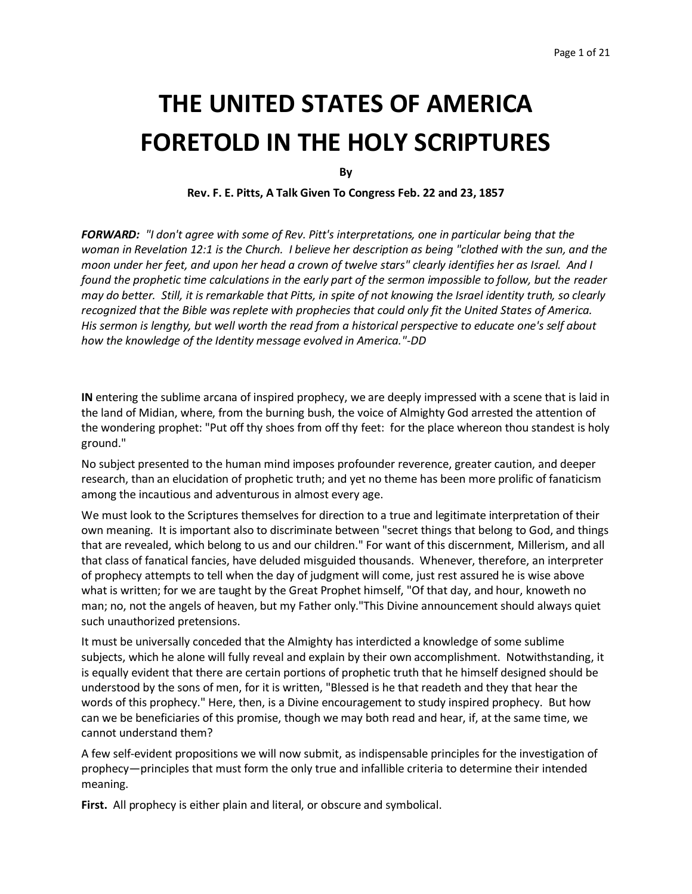# **THE UNITED STATES OF AMERICA FORETOLD IN THE HOLY SCRIPTURES**

**By**

**Rev. F. E. Pitts, A Talk Given To Congress Feb. 22 and 23, 1857**

*FORWARD: "I don't agree with some of Rev. Pitt's interpretations, one in particular being that the woman in Revelation 12:1 is the Church. I believe her description as being "clothed with the sun, and the moon under her feet, and upon her head a crown of twelve stars" clearly identifies her as Israel. And I found the prophetic time calculations in the early part of the sermon impossible to follow, but the reader may do better. Still, it is remarkable that Pitts, in spite of not knowing the Israel identity truth, so clearly recognized that the Bible was replete with prophecies that could only fit the United States of America. His sermon is lengthy, but well worth the read from a historical perspective to educate one's self about how the knowledge of the Identity message evolved in America."-DD*

**IN** entering the sublime arcana of inspired prophecy, we are deeply impressed with a scene that is laid in the land of Midian, where, from the burning bush, the voice of Almighty God arrested the attention of the wondering prophet: "Put off thy shoes from off thy feet: for the place whereon thou standest is holy ground."

No subject presented to the human mind imposes profounder reverence, greater caution, and deeper research, than an elucidation of prophetic truth; and yet no theme has been more prolific of fanaticism among the incautious and adventurous in almost every age.

We must look to the Scriptures themselves for direction to a true and legitimate interpretation of their own meaning. It is important also to discriminate between "secret things that belong to God, and things that are revealed, which belong to us and our children." For want of this discernment, Millerism, and all that class of fanatical fancies, have deluded misguided thousands. Whenever, therefore, an interpreter of prophecy attempts to tell when the day of judgment will come, just rest assured he is wise above what is written; for we are taught by the Great Prophet himself, "Of that day, and hour, knoweth no man; no, not the angels of heaven, but my Father only."This Divine announcement should always quiet such unauthorized pretensions.

It must be universally conceded that the Almighty has interdicted a knowledge of some sublime subjects, which he alone will fully reveal and explain by their own accomplishment. Notwithstanding, it is equally evident that there are certain portions of prophetic truth that he himself designed should be understood by the sons of men, for it is written, "Blessed is he that readeth and they that hear the words of this prophecy." Here, then, is a Divine encouragement to study inspired prophecy. But how can we be beneficiaries of this promise, though we may both read and hear, if, at the same time, we cannot understand them?

A few self-evident propositions we will now submit, as indispensable principles for the investigation of prophecy—principles that must form the only true and infallible criteria to determine their intended meaning.

**First.** All prophecy is either plain and literal, or obscure and symbolical.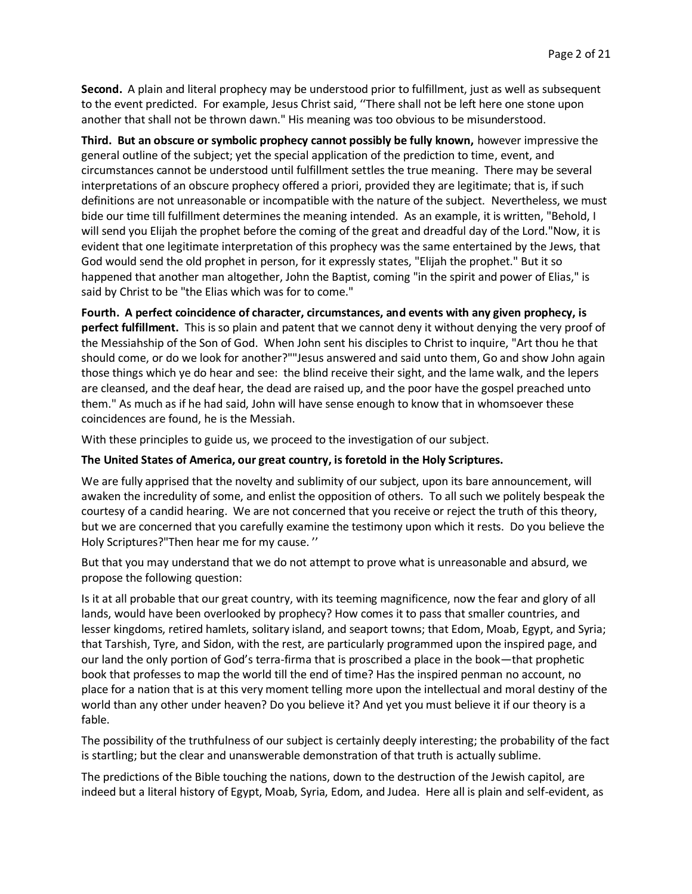**Second.** A plain and literal prophecy may be understood prior to fulfillment, just as well as subsequent to the event predicted. For example, Jesus Christ said, ''There shall not be left here one stone upon another that shall not be thrown dawn." His meaning was too obvious to be misunderstood.

**Third. But an obscure or symbolic prophecy cannot possibly be fully known,** however impressive the general outline of the subject; yet the special application of the prediction to time, event, and circumstances cannot be understood until fulfillment settles the true meaning. There may be several interpretations of an obscure prophecy offered a priori, provided they are legitimate; that is, if such definitions are not unreasonable or incompatible with the nature of the subject. Nevertheless, we must bide our time till fulfillment determines the meaning intended. As an example, it is written, "Behold, I will send you Elijah the prophet before the coming of the great and dreadful day of the Lord."Now, it is evident that one legitimate interpretation of this prophecy was the same entertained by the Jews, that God would send the old prophet in person, for it expressly states, "Elijah the prophet." But it so happened that another man altogether, John the Baptist, coming "in the spirit and power of Elias," is said by Christ to be "the Elias which was for to come."

**Fourth. A perfect coincidence of character, circumstances, and events with any given prophecy, is perfect fulfillment.** This is so plain and patent that we cannot deny it without denying the very proof of the Messiahship of the Son of God. When John sent his disciples to Christ to inquire, "Art thou he that should come, or do we look for another?""Jesus answered and said unto them, Go and show John again those things which ye do hear and see: the blind receive their sight, and the lame walk, and the lepers are cleansed, and the deaf hear, the dead are raised up, and the poor have the gospel preached unto them." As much as if he had said, John will have sense enough to know that in whomsoever these coincidences are found, he is the Messiah.

With these principles to guide us, we proceed to the investigation of our subject.

## **The United States of America, our great country, is foretold in the Holy Scriptures.**

We are fully apprised that the novelty and sublimity of our subject, upon its bare announcement, will awaken the incredulity of some, and enlist the opposition of others. To all such we politely bespeak the courtesy of a candid hearing. We are not concerned that you receive or reject the truth of this theory, but we are concerned that you carefully examine the testimony upon which it rests. Do you believe the Holy Scriptures?"Then hear me for my cause. ''

But that you may understand that we do not attempt to prove what is unreasonable and absurd, we propose the following question:

Is it at all probable that our great country, with its teeming magnificence, now the fear and glory of all lands, would have been overlooked by prophecy? How comes it to pass that smaller countries, and lesser kingdoms, retired hamlets, solitary island, and seaport towns; that Edom, Moab, Egypt, and Syria; that Tarshish, Tyre, and Sidon, with the rest, are particularly programmed upon the inspired page, and our land the only portion of God's terra-firma that is proscribed a place in the book—that prophetic book that professes to map the world till the end of time? Has the inspired penman no account, no place for a nation that is at this very moment telling more upon the intellectual and moral destiny of the world than any other under heaven? Do you believe it? And yet you must believe it if our theory is a fable.

The possibility of the truthfulness of our subject is certainly deeply interesting; the probability of the fact is startling; but the clear and unanswerable demonstration of that truth is actually sublime.

The predictions of the Bible touching the nations, down to the destruction of the Jewish capitol, are indeed but a literal history of Egypt, Moab, Syria, Edom, and Judea. Here all is plain and self-evident, as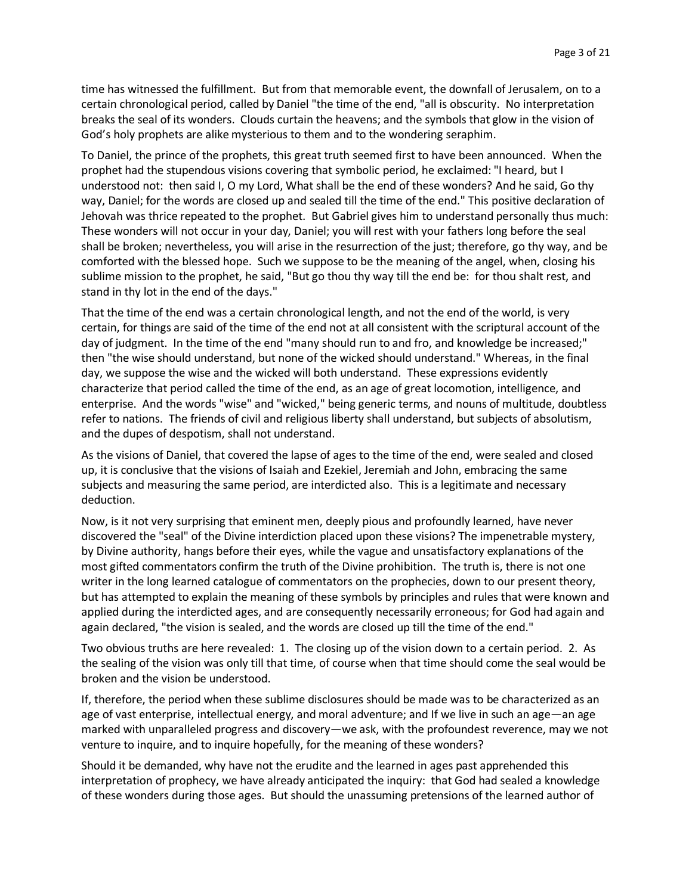time has witnessed the fulfillment. But from that memorable event, the downfall of Jerusalem, on to a certain chronological period, called by Daniel "the time of the end, "all is obscurity. No interpretation breaks the seal of its wonders. Clouds curtain the heavens; and the symbols that glow in the vision of God's holy prophets are alike mysterious to them and to the wondering seraphim.

To Daniel, the prince of the prophets, this great truth seemed first to have been announced. When the prophet had the stupendous visions covering that symbolic period, he exclaimed: "I heard, but I understood not: then said I, O my Lord, What shall be the end of these wonders? And he said, Go thy way, Daniel; for the words are closed up and sealed till the time of the end." This positive declaration of Jehovah was thrice repeated to the prophet. But Gabriel gives him to understand personally thus much: These wonders will not occur in your day, Daniel; you will rest with your fathers long before the seal shall be broken; nevertheless, you will arise in the resurrection of the just; therefore, go thy way, and be comforted with the blessed hope. Such we suppose to be the meaning of the angel, when, closing his sublime mission to the prophet, he said, "But go thou thy way till the end be: for thou shalt rest, and stand in thy lot in the end of the days."

That the time of the end was a certain chronological length, and not the end of the world, is very certain, for things are said of the time of the end not at all consistent with the scriptural account of the day of judgment. In the time of the end "many should run to and fro, and knowledge be increased;" then "the wise should understand, but none of the wicked should understand." Whereas, in the final day, we suppose the wise and the wicked will both understand. These expressions evidently characterize that period called the time of the end, as an age of great locomotion, intelligence, and enterprise. And the words "wise" and "wicked," being generic terms, and nouns of multitude, doubtless refer to nations. The friends of civil and religious liberty shall understand, but subjects of absolutism, and the dupes of despotism, shall not understand.

As the visions of Daniel, that covered the lapse of ages to the time of the end, were sealed and closed up, it is conclusive that the visions of Isaiah and Ezekiel, Jeremiah and John, embracing the same subjects and measuring the same period, are interdicted also. This is a legitimate and necessary deduction.

Now, is it not very surprising that eminent men, deeply pious and profoundly learned, have never discovered the "seal" of the Divine interdiction placed upon these visions? The impenetrable mystery, by Divine authority, hangs before their eyes, while the vague and unsatisfactory explanations of the most gifted commentators confirm the truth of the Divine prohibition. The truth is, there is not one writer in the long learned catalogue of commentators on the prophecies, down to our present theory, but has attempted to explain the meaning of these symbols by principles and rules that were known and applied during the interdicted ages, and are consequently necessarily erroneous; for God had again and again declared, "the vision is sealed, and the words are closed up till the time of the end."

Two obvious truths are here revealed: 1. The closing up of the vision down to a certain period. 2. As the sealing of the vision was only till that time, of course when that time should come the seal would be broken and the vision be understood.

If, therefore, the period when these sublime disclosures should be made was to be characterized as an age of vast enterprise, intellectual energy, and moral adventure; and If we live in such an age—an age marked with unparalleled progress and discovery—we ask, with the profoundest reverence, may we not venture to inquire, and to inquire hopefully, for the meaning of these wonders?

Should it be demanded, why have not the erudite and the learned in ages past apprehended this interpretation of prophecy, we have already anticipated the inquiry: that God had sealed a knowledge of these wonders during those ages. But should the unassuming pretensions of the learned author of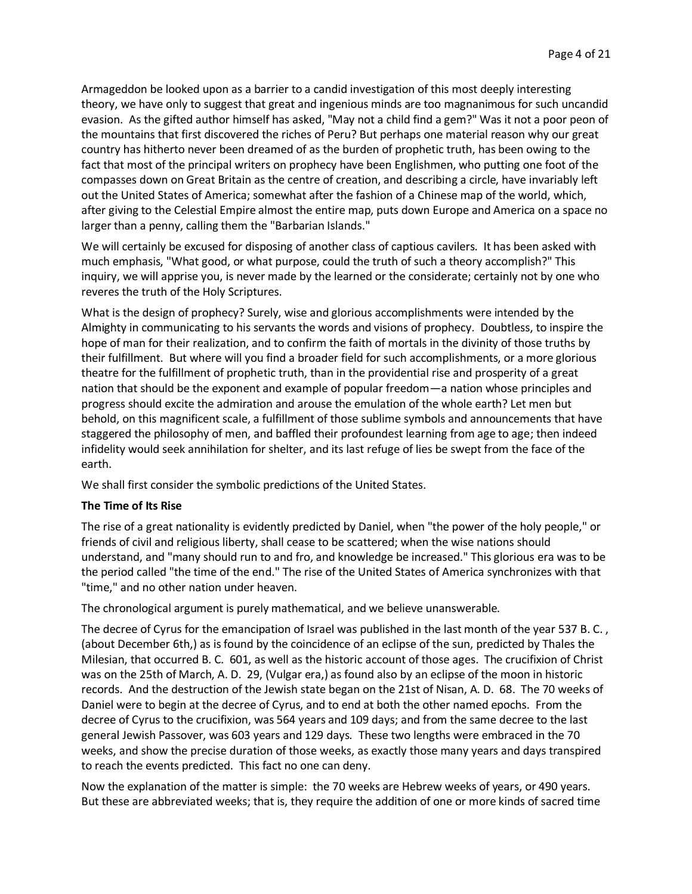Armageddon be looked upon as a barrier to a candid investigation of this most deeply interesting theory, we have only to suggest that great and ingenious minds are too magnanimous for such uncandid evasion. As the gifted author himself has asked, "May not a child find a gem?" Was it not a poor peon of the mountains that first discovered the riches of Peru? But perhaps one material reason why our great country has hitherto never been dreamed of as the burden of prophetic truth, has been owing to the fact that most of the principal writers on prophecy have been Englishmen, who putting one foot of the compasses down on Great Britain as the centre of creation, and describing a circle, have invariably left out the United States of America; somewhat after the fashion of a Chinese map of the world, which, after giving to the Celestial Empire almost the entire map, puts down Europe and America on a space no larger than a penny, calling them the "Barbarian Islands."

We will certainly be excused for disposing of another class of captious cavilers. It has been asked with much emphasis, "What good, or what purpose, could the truth of such a theory accomplish?" This inquiry, we will apprise you, is never made by the learned or the considerate; certainly not by one who reveres the truth of the Holy Scriptures.

What is the design of prophecy? Surely, wise and glorious accomplishments were intended by the Almighty in communicating to his servants the words and visions of prophecy. Doubtless, to inspire the hope of man for their realization, and to confirm the faith of mortals in the divinity of those truths by their fulfillment. But where will you find a broader field for such accomplishments, or a more glorious theatre for the fulfillment of prophetic truth, than in the providential rise and prosperity of a great nation that should be the exponent and example of popular freedom—a nation whose principles and progress should excite the admiration and arouse the emulation of the whole earth? Let men but behold, on this magnificent scale, a fulfillment of those sublime symbols and announcements that have staggered the philosophy of men, and baffled their profoundest learning from age to age; then indeed infidelity would seek annihilation for shelter, and its last refuge of lies be swept from the face of the earth.

We shall first consider the symbolic predictions of the United States.

## **The Time of Its Rise**

The rise of a great nationality is evidently predicted by Daniel, when "the power of the holy people," or friends of civil and religious liberty, shall cease to be scattered; when the wise nations should understand, and "many should run to and fro, and knowledge be increased." This glorious era was to be the period called "the time of the end." The rise of the United States of America synchronizes with that "time," and no other nation under heaven.

The chronological argument is purely mathematical, and we believe unanswerable.

The decree of Cyrus for the emancipation of Israel was published in the last month of the year 537 B.C., (about December 6th,) as is found by the coincidence of an eclipse of the sun, predicted by Thales the Milesian, that occurred B. C. 601, as well as the historic account of those ages. The crucifixion of Christ was on the 25th of March, A. D. 29, (Vulgar era,) as found also by an eclipse of the moon in historic records. And the destruction of the Jewish state began on the 21st of Nisan, A. D. 68. The 70 weeks of Daniel were to begin at the decree of Cyrus, and to end at both the other named epochs. From the decree of Cyrus to the crucifixion, was 564 years and 109 days; and from the same decree to the last general Jewish Passover, was 603 years and 129 days. These two lengths were embraced in the 70 weeks, and show the precise duration of those weeks, as exactly those many years and days transpired to reach the events predicted. This fact no one can deny.

Now the explanation of the matter is simple: the 70 weeks are Hebrew weeks of years, or 490 years. But these are abbreviated weeks; that is, they require the addition of one or more kinds of sacred time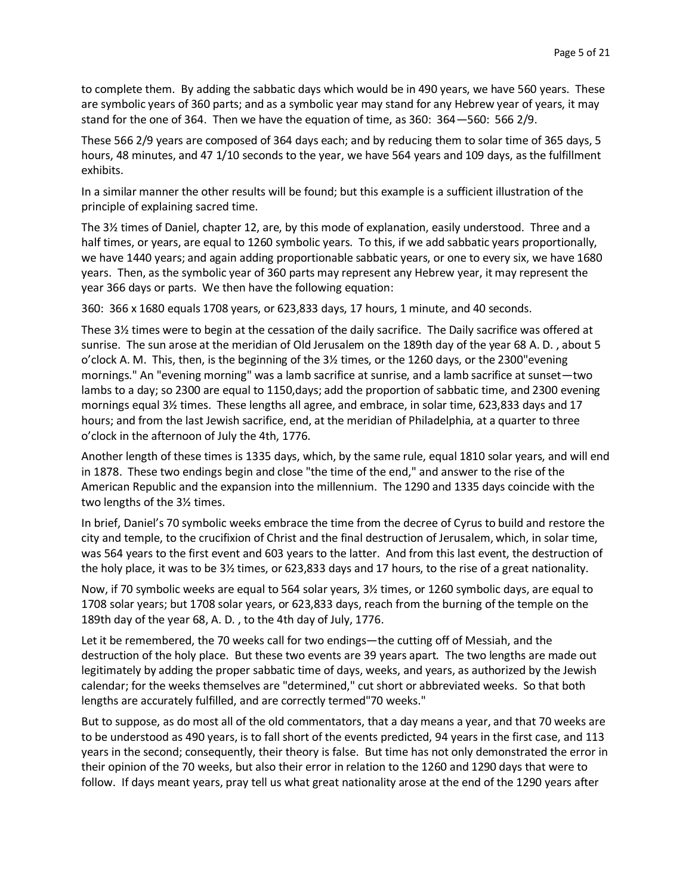to complete them. By adding the sabbatic days which would be in 490 years, we have 560 years. These are symbolic years of 360 parts; and as a symbolic year may stand for any Hebrew year of years, it may stand for the one of 364. Then we have the equation of time, as 360: 364—560: 566 2/9.

These 566 2/9 years are composed of 364 days each; and by reducing them to solar time of 365 days, 5 hours, 48 minutes, and 47 1/10 seconds to the year, we have 564 years and 109 days, as the fulfillment exhibits.

In a similar manner the other results will be found; but this example is a sufficient illustration of the principle of explaining sacred time.

The 3½ times of Daniel, chapter 12, are, by this mode of explanation, easily understood. Three and a half times, or years, are equal to 1260 symbolic years. To this, if we add sabbatic years proportionally, we have 1440 years; and again adding proportionable sabbatic years, or one to every six, we have 1680 years. Then, as the symbolic year of 360 parts may represent any Hebrew year, it may represent the year 366 days or parts. We then have the following equation:

360: 366 x 1680 equals 1708 years, or 623,833 days, 17 hours, 1 minute, and 40 seconds.

These 3½ times were to begin at the cessation of the daily sacrifice. The Daily sacrifice was offered at sunrise. The sun arose at the meridian of Old Jerusalem on the 189th day of the year 68 A. D. , about 5 o'clock A. M. This, then, is the beginning of the 3½ times, or the 1260 days, or the 2300"evening mornings." An "evening morning" was a lamb sacrifice at sunrise, and a lamb sacrifice at sunset—two lambs to a day; so 2300 are equal to 1150,days; add the proportion of sabbatic time, and 2300 evening mornings equal 3½ times. These lengths all agree, and embrace, in solar time, 623,833 days and 17 hours; and from the last Jewish sacrifice, end, at the meridian of Philadelphia, at a quarter to three o'clock in the afternoon of July the 4th, 1776.

Another length of these times is 1335 days, which, by the same rule, equal 1810 solar years, and will end in 1878. These two endings begin and close "the time of the end," and answer to the rise of the American Republic and the expansion into the millennium. The 1290 and 1335 days coincide with the two lengths of the 3½ times.

In brief, Daniel's 70 symbolic weeks embrace the time from the decree of Cyrus to build and restore the city and temple, to the crucifixion of Christ and the final destruction of Jerusalem, which, in solar time, was 564 years to the first event and 603 years to the latter. And from this last event, the destruction of the holy place, it was to be 3½ times, or 623,833 days and 17 hours, to the rise of a great nationality.

Now, if 70 symbolic weeks are equal to 564 solar years, 3½ times, or 1260 symbolic days, are equal to 1708 solar years; but 1708 solar years, or 623,833 days, reach from the burning of the temple on the 189th day of the year 68, A. D. , to the 4th day of July, 1776.

Let it be remembered, the 70 weeks call for two endings—the cutting off of Messiah, and the destruction of the holy place. But these two events are 39 years apart. The two lengths are made out legitimately by adding the proper sabbatic time of days, weeks, and years, as authorized by the Jewish calendar; for the weeks themselves are "determined," cut short or abbreviated weeks. So that both lengths are accurately fulfilled, and are correctly termed"70 weeks."

But to suppose, as do most all of the old commentators, that a day means a year, and that 70 weeks are to be understood as 490 years, is to fall short of the events predicted, 94 years in the first case, and 113 years in the second; consequently, their theory is false. But time has not only demonstrated the error in their opinion of the 70 weeks, but also their error in relation to the 1260 and 1290 days that were to follow. If days meant years, pray tell us what great nationality arose at the end of the 1290 years after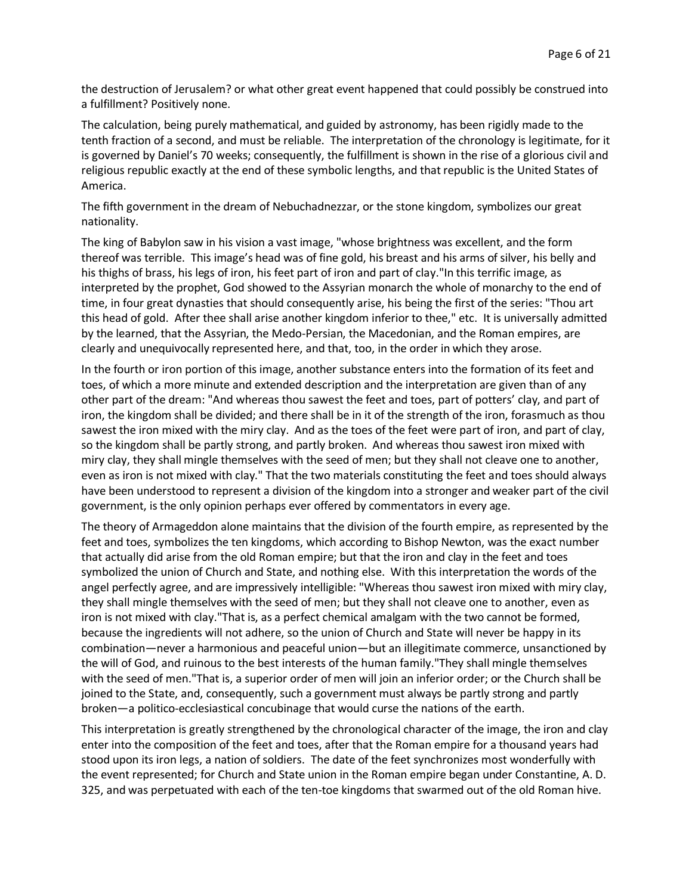the destruction of Jerusalem? or what other great event happened that could possibly be construed into a fulfillment? Positively none.

The calculation, being purely mathematical, and guided by astronomy, has been rigidly made to the tenth fraction of a second, and must be reliable. The interpretation of the chronology is legitimate, for it is governed by Daniel's 70 weeks; consequently, the fulfillment is shown in the rise of a glorious civil and religious republic exactly at the end of these symbolic lengths, and that republic is the United States of America.

The fifth government in the dream of Nebuchadnezzar, or the stone kingdom, symbolizes our great nationality.

The king of Babylon saw in his vision a vast image, "whose brightness was excellent, and the form thereof was terrible. This image's head was of fine gold, his breast and his arms of silver, his belly and his thighs of brass, his legs of iron, his feet part of iron and part of clay."In this terrific image, as interpreted by the prophet, God showed to the Assyrian monarch the whole of monarchy to the end of time, in four great dynasties that should consequently arise, his being the first of the series: "Thou art this head of gold. After thee shall arise another kingdom inferior to thee," etc. It is universally admitted by the learned, that the Assyrian, the Medo-Persian, the Macedonian, and the Roman empires, are clearly and unequivocally represented here, and that, too, in the order in which they arose.

In the fourth or iron portion of this image, another substance enters into the formation of its feet and toes, of which a more minute and extended description and the interpretation are given than of any other part of the dream: "And whereas thou sawest the feet and toes, part of potters' clay, and part of iron, the kingdom shall be divided; and there shall be in it of the strength of the iron, forasmuch as thou sawest the iron mixed with the miry clay. And as the toes of the feet were part of iron, and part of clay, so the kingdom shall be partly strong, and partly broken. And whereas thou sawest iron mixed with miry clay, they shall mingle themselves with the seed of men; but they shall not cleave one to another, even as iron is not mixed with clay." That the two materials constituting the feet and toes should always have been understood to represent a division of the kingdom into a stronger and weaker part of the civil government, is the only opinion perhaps ever offered by commentators in every age.

The theory of Armageddon alone maintains that the division of the fourth empire, as represented by the feet and toes, symbolizes the ten kingdoms, which according to Bishop Newton, was the exact number that actually did arise from the old Roman empire; but that the iron and clay in the feet and toes symbolized the union of Church and State, and nothing else. With this interpretation the words of the angel perfectly agree, and are impressively intelligible: "Whereas thou sawest iron mixed with miry clay, they shall mingle themselves with the seed of men; but they shall not cleave one to another, even as iron is not mixed with clay."That is, as a perfect chemical amalgam with the two cannot be formed, because the ingredients will not adhere, so the union of Church and State will never be happy in its combination—never a harmonious and peaceful union—but an illegitimate commerce, unsanctioned by the will of God, and ruinous to the best interests of the human family."They shall mingle themselves with the seed of men."That is, a superior order of men will join an inferior order; or the Church shall be joined to the State, and, consequently, such a government must always be partly strong and partly broken—a politico-ecclesiastical concubinage that would curse the nations of the earth.

This interpretation is greatly strengthened by the chronological character of the image, the iron and clay enter into the composition of the feet and toes, after that the Roman empire for a thousand years had stood upon its iron legs, a nation of soldiers. The date of the feet synchronizes most wonderfully with the event represented; for Church and State union in the Roman empire began under Constantine, A. D. 325, and was perpetuated with each of the ten-toe kingdoms that swarmed out of the old Roman hive.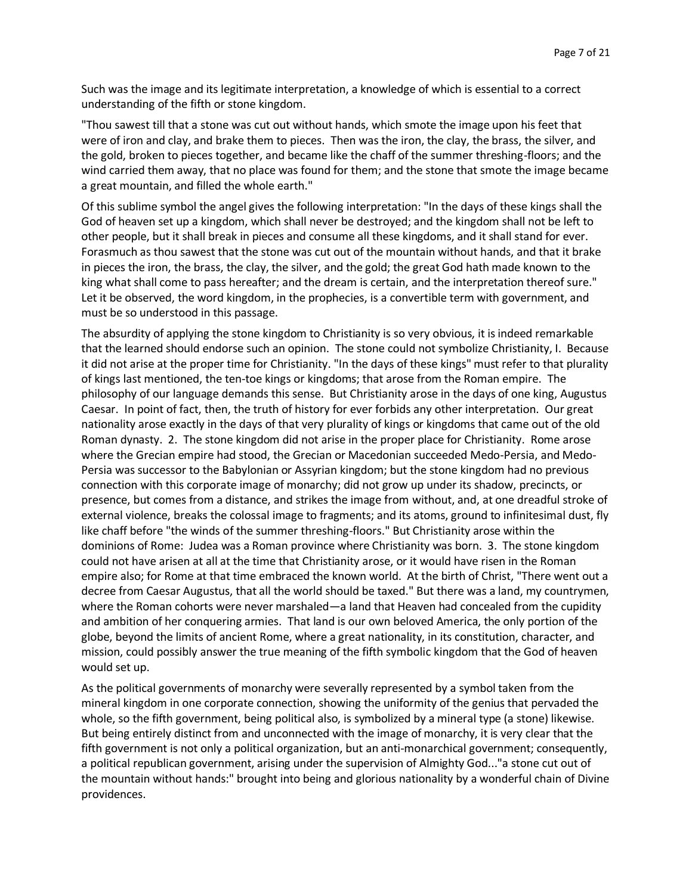Such was the image and its legitimate interpretation, a knowledge of which is essential to a correct understanding of the fifth or stone kingdom.

"Thou sawest till that a stone was cut out without hands, which smote the image upon his feet that were of iron and clay, and brake them to pieces. Then was the iron, the clay, the brass, the silver, and the gold, broken to pieces together, and became like the chaff of the summer threshing-floors; and the wind carried them away, that no place was found for them; and the stone that smote the image became a great mountain, and filled the whole earth."

Of this sublime symbol the angel gives the following interpretation: "In the days of these kings shall the God of heaven set up a kingdom, which shall never be destroyed; and the kingdom shall not be left to other people, but it shall break in pieces and consume all these kingdoms, and it shall stand for ever. Forasmuch as thou sawest that the stone was cut out of the mountain without hands, and that it brake in pieces the iron, the brass, the clay, the silver, and the gold; the great God hath made known to the king what shall come to pass hereafter; and the dream is certain, and the interpretation thereof sure." Let it be observed, the word kingdom, in the prophecies, is a convertible term with government, and must be so understood in this passage.

The absurdity of applying the stone kingdom to Christianity is so very obvious, it is indeed remarkable that the learned should endorse such an opinion. The stone could not symbolize Christianity, I. Because it did not arise at the proper time for Christianity. "In the days of these kings" must refer to that plurality of kings last mentioned, the ten-toe kings or kingdoms; that arose from the Roman empire. The philosophy of our language demands this sense. But Christianity arose in the days of one king, Augustus Caesar. In point of fact, then, the truth of history for ever forbids any other interpretation. Our great nationality arose exactly in the days of that very plurality of kings or kingdoms that came out of the old Roman dynasty. 2. The stone kingdom did not arise in the proper place for Christianity. Rome arose where the Grecian empire had stood, the Grecian or Macedonian succeeded Medo-Persia, and Medo-Persia was successor to the Babylonian or Assyrian kingdom; but the stone kingdom had no previous connection with this corporate image of monarchy; did not grow up under its shadow, precincts, or presence, but comes from a distance, and strikes the image from without, and, at one dreadful stroke of external violence, breaks the colossal image to fragments; and its atoms, ground to infinitesimal dust, fly like chaff before "the winds of the summer threshing-floors." But Christianity arose within the dominions of Rome: Judea was a Roman province where Christianity was born. 3. The stone kingdom could not have arisen at all at the time that Christianity arose, or it would have risen in the Roman empire also; for Rome at that time embraced the known world. At the birth of Christ, "There went out a decree from Caesar Augustus, that all the world should be taxed." But there was a land, my countrymen, where the Roman cohorts were never marshaled—a land that Heaven had concealed from the cupidity and ambition of her conquering armies. That land is our own beloved America, the only portion of the globe, beyond the limits of ancient Rome, where a great nationality, in its constitution, character, and mission, could possibly answer the true meaning of the fifth symbolic kingdom that the God of heaven would set up.

As the political governments of monarchy were severally represented by a symbol taken from the mineral kingdom in one corporate connection, showing the uniformity of the genius that pervaded the whole, so the fifth government, being political also, is symbolized by a mineral type (a stone) likewise. But being entirely distinct from and unconnected with the image of monarchy, it is very clear that the fifth government is not only a political organization, but an anti-monarchical government; consequently, a political republican government, arising under the supervision of Almighty God..."a stone cut out of the mountain without hands:" brought into being and glorious nationality by a wonderful chain of Divine providences.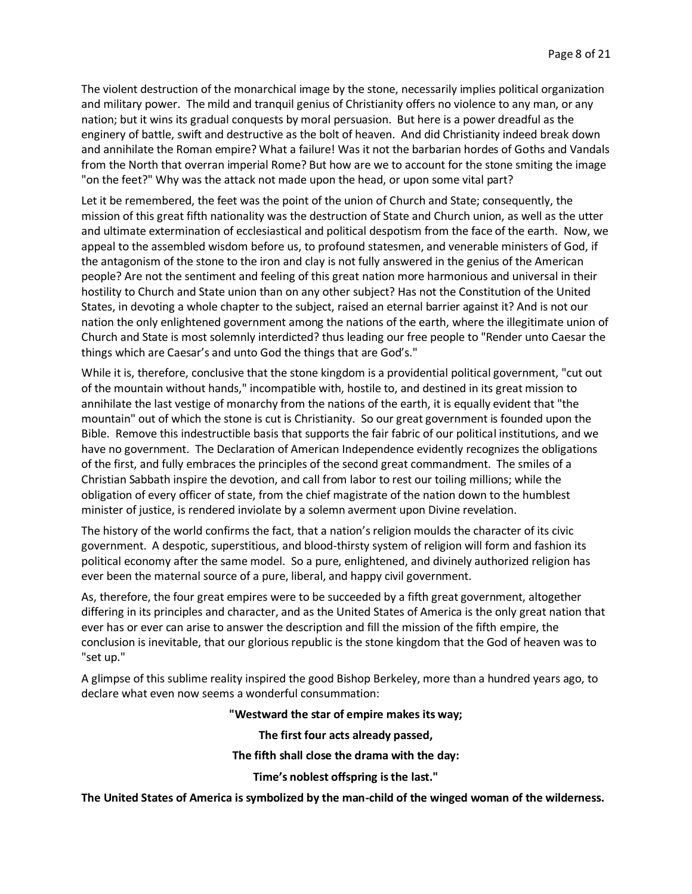The violent destruction of the monarchical image by the stone, necessarily implies political organization and military power. The mild and tranquil genius of Christianity offers no violence to any man, or any nation; but it wins its gradual conquests by moral persuasion. But here is a power dreadful as the enginery of battle, swift and destructive as the bolt of heaven. And did Christianity indeed break down and annihilate the Roman empire? What a failure! Was it not the barbarian hordes of Goths and Vandals from the North that overran imperial Rome? But how are we to account for the stone smiting the image "on the feet?" Why was the attack not made upon the head, or upon some vital part?

Let it be remembered, the feet was the point of the union of Church and State; consequently, the mission of this great fifth nationality was the destruction of State and Church union, as well as the utter and ultimate extermination of ecclesiastical and political despotism from the face of the earth. Now, we appeal to the assembled wisdom before us, to profound statesmen, and venerable ministers of God, if the antagonism of the stone to the iron and clay is not fully answered in the genius of the American people? Are not the sentiment and feeling of this great nation more harmonious and universal in their hostility to Church and State union than on any other subject? Has not the Constitution of the United States, in devoting a whole chapter to the subject, raised an eternal barrier against it? And is not our nation the only enlightened government among the nations of the earth, where the illegitimate union of Church and State is most solemnly interdicted? thus leading our free people to "Render unto Caesar the things which are Caesar's and unto God the things that are God's."

While it is, therefore, conclusive that the stone kingdom is a providential political government, "cut out of the mountain without hands," incompatible with, hostile to, and destined in its great mission to annihilate the last vestige of monarchy from the nations of the earth, it is equally evident that "the mountain" out of which the stone is cut is Christianity. So our great government is founded upon the Bible. Remove this indestructible basis that supports the fair fabric of our political institutions, and we have no government. The Declaration of American Independence evidently recognizes the obligations of the first, and fully embraces the principles of the second great commandment. The smiles of a Christian Sabbath inspire the devotion, and call from labor to rest our toiling millions; while the obligation of every officer of state, from the chief magistrate of the nation down to the humblest minister of justice, is rendered inviolate by a solemn averment upon Divine revelation.

The history of the world confirms the fact, that a nation's religion moulds the character of its civic government. A despotic, superstitious, and blood-thirsty system of religion will form and fashion its political economy after the same model. So a pure, enlightened, and divinely authorized religion has ever been the maternal source of a pure, liberal, and happy civil government.

As, therefore, the four great empires were to be succeeded by a fifth great government, altogether differing in its principles and character, and as the United States of America is the only great nation that ever has or ever can arise to answer the description and fill the mission of the fifth empire, the conclusion is inevitable, that our glorious republic is the stone kingdom that the God of heaven was to "set up."

A glimpse of this sublime reality inspired the good Bishop Berkeley, more than a hundred years ago, to declare what even now seems a wonderful consummation:

#### **"Westward the star of empire makes its way;**

**The first four acts already passed,**

**The fifth shall close the drama with the day:**

**Time's noblest offspring is the last."**

**The United States of America is symbolized by the man-child of the winged woman of the wilderness.**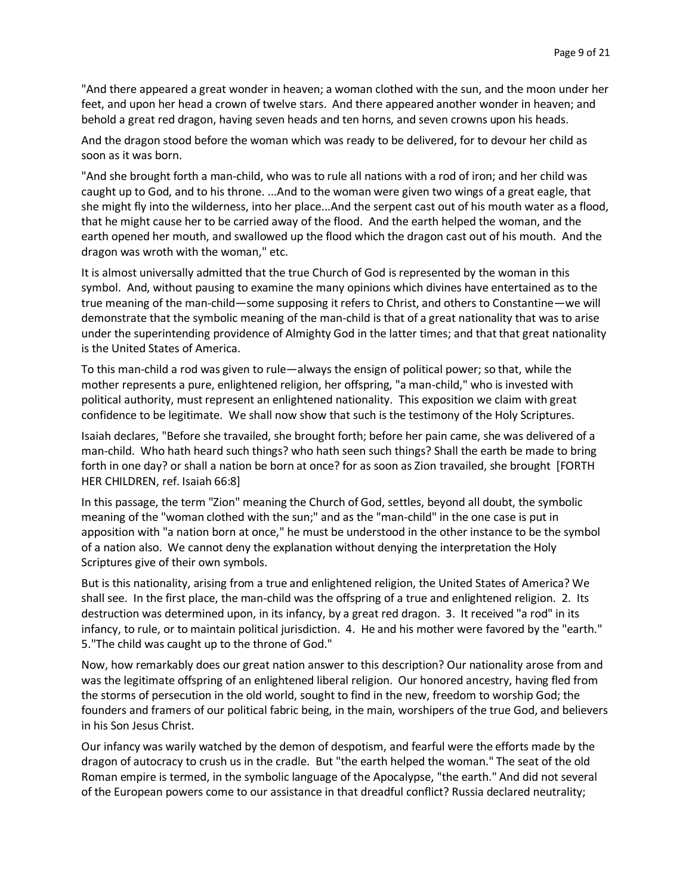"And there appeared a great wonder in heaven; a woman clothed with the sun, and the moon under her feet, and upon her head a crown of twelve stars. And there appeared another wonder in heaven; and behold a great red dragon, having seven heads and ten horns, and seven crowns upon his heads.

And the dragon stood before the woman which was ready to be delivered, for to devour her child as soon as it was born.

"And she brought forth a man-child, who was to rule all nations with a rod of iron; and her child was caught up to God, and to his throne. ...And to the woman were given two wings of a great eagle, that she might fly into the wilderness, into her place...And the serpent cast out of his mouth water as a flood, that he might cause her to be carried away of the flood. And the earth helped the woman, and the earth opened her mouth, and swallowed up the flood which the dragon cast out of his mouth. And the dragon was wroth with the woman," etc.

It is almost universally admitted that the true Church of God is represented by the woman in this symbol. And, without pausing to examine the many opinions which divines have entertained as to the true meaning of the man-child—some supposing it refers to Christ, and others to Constantine—we will demonstrate that the symbolic meaning of the man-child is that of a great nationality that was to arise under the superintending providence of Almighty God in the latter times; and that that great nationality is the United States of America.

To this man-child a rod was given to rule—always the ensign of political power; so that, while the mother represents a pure, enlightened religion, her offspring, "a man-child," who is invested with political authority, must represent an enlightened nationality. This exposition we claim with great confidence to be legitimate. We shall now show that such is the testimony of the Holy Scriptures.

Isaiah declares, "Before she travailed, she brought forth; before her pain came, she was delivered of a man-child. Who hath heard such things? who hath seen such things? Shall the earth be made to bring forth in one day? or shall a nation be born at once? for as soon as Zion travailed, she brought [FORTH HER CHILDREN, ref. Isaiah 66:8]

In this passage, the term "Zion" meaning the Church of God, settles, beyond all doubt, the symbolic meaning of the "woman clothed with the sun;" and as the "man-child" in the one case is put in apposition with "a nation born at once," he must be understood in the other instance to be the symbol of a nation also. We cannot deny the explanation without denying the interpretation the Holy Scriptures give of their own symbols.

But is this nationality, arising from a true and enlightened religion, the United States of America? We shall see. In the first place, the man-child was the offspring of a true and enlightened religion. 2. Its destruction was determined upon, in its infancy, by a great red dragon. 3. It received "a rod" in its infancy, to rule, or to maintain political jurisdiction. 4. He and his mother were favored by the "earth." 5."The child was caught up to the throne of God."

Now, how remarkably does our great nation answer to this description? Our nationality arose from and was the legitimate offspring of an enlightened liberal religion. Our honored ancestry, having fled from the storms of persecution in the old world, sought to find in the new, freedom to worship God; the founders and framers of our political fabric being, in the main, worshipers of the true God, and believers in his Son Jesus Christ.

Our infancy was warily watched by the demon of despotism, and fearful were the efforts made by the dragon of autocracy to crush us in the cradle. But "the earth helped the woman." The seat of the old Roman empire is termed, in the symbolic language of the Apocalypse, "the earth." And did not several of the European powers come to our assistance in that dreadful conflict? Russia declared neutrality;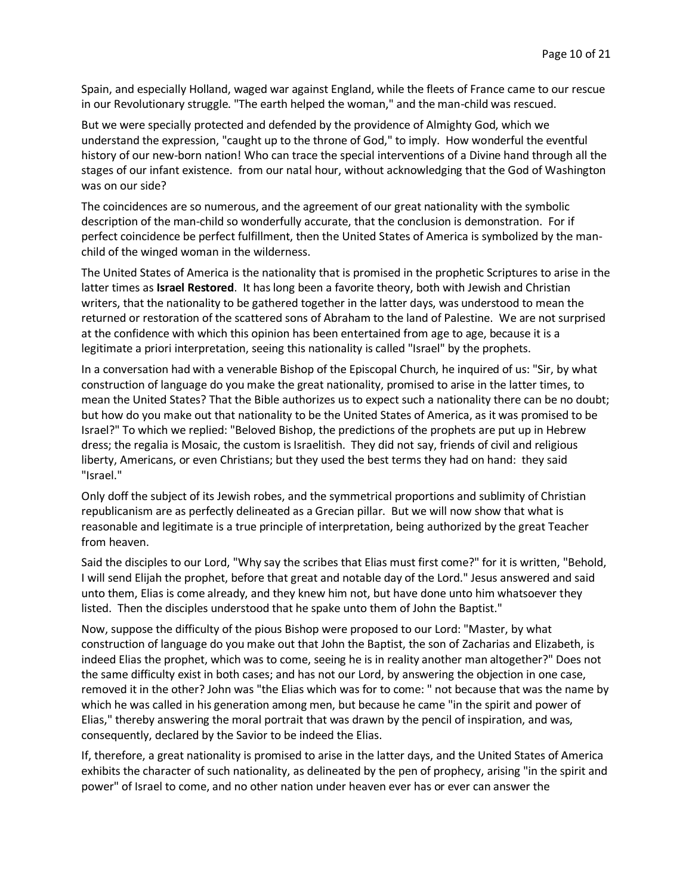Spain, and especially Holland, waged war against England, while the fleets of France came to our rescue in our Revolutionary struggle. "The earth helped the woman," and the man-child was rescued.

But we were specially protected and defended by the providence of Almighty God, which we understand the expression, "caught up to the throne of God," to imply. How wonderful the eventful history of our new-born nation! Who can trace the special interventions of a Divine hand through all the stages of our infant existence. from our natal hour, without acknowledging that the God of Washington was on our side?

The coincidences are so numerous, and the agreement of our great nationality with the symbolic description of the man-child so wonderfully accurate, that the conclusion is demonstration. For if perfect coincidence be perfect fulfillment, then the United States of America is symbolized by the manchild of the winged woman in the wilderness.

The United States of America is the nationality that is promised in the prophetic Scriptures to arise in the latter times as **Israel Restored**. It has long been a favorite theory, both with Jewish and Christian writers, that the nationality to be gathered together in the latter days, was understood to mean the returned or restoration of the scattered sons of Abraham to the land of Palestine. We are not surprised at the confidence with which this opinion has been entertained from age to age, because it is a legitimate a priori interpretation, seeing this nationality is called "Israel" by the prophets.

In a conversation had with a venerable Bishop of the Episcopal Church, he inquired of us: "Sir, by what construction of language do you make the great nationality, promised to arise in the latter times, to mean the United States? That the Bible authorizes us to expect such a nationality there can be no doubt; but how do you make out that nationality to be the United States of America, as it was promised to be Israel?" To which we replied: "Beloved Bishop, the predictions of the prophets are put up in Hebrew dress; the regalia is Mosaic, the custom is Israelitish. They did not say, friends of civil and religious liberty, Americans, or even Christians; but they used the best terms they had on hand: they said "Israel."

Only doff the subject of its Jewish robes, and the symmetrical proportions and sublimity of Christian republicanism are as perfectly delineated as a Grecian pillar. But we will now show that what is reasonable and legitimate is a true principle of interpretation, being authorized by the great Teacher from heaven.

Said the disciples to our Lord, "Why say the scribes that Elias must first come?" for it is written, "Behold, I will send Elijah the prophet, before that great and notable day of the Lord." Jesus answered and said unto them, Elias is come already, and they knew him not, but have done unto him whatsoever they listed. Then the disciples understood that he spake unto them of John the Baptist."

Now, suppose the difficulty of the pious Bishop were proposed to our Lord: "Master, by what construction of language do you make out that John the Baptist, the son of Zacharias and Elizabeth, is indeed Elias the prophet, which was to come, seeing he is in reality another man altogether?" Does not the same difficulty exist in both cases; and has not our Lord, by answering the objection in one case, removed it in the other? John was "the Elias which was for to come: " not because that was the name by which he was called in his generation among men, but because he came "in the spirit and power of Elias," thereby answering the moral portrait that was drawn by the pencil of inspiration, and was, consequently, declared by the Savior to be indeed the Elias.

If, therefore, a great nationality is promised to arise in the latter days, and the United States of America exhibits the character of such nationality, as delineated by the pen of prophecy, arising "in the spirit and power" of Israel to come, and no other nation under heaven ever has or ever can answer the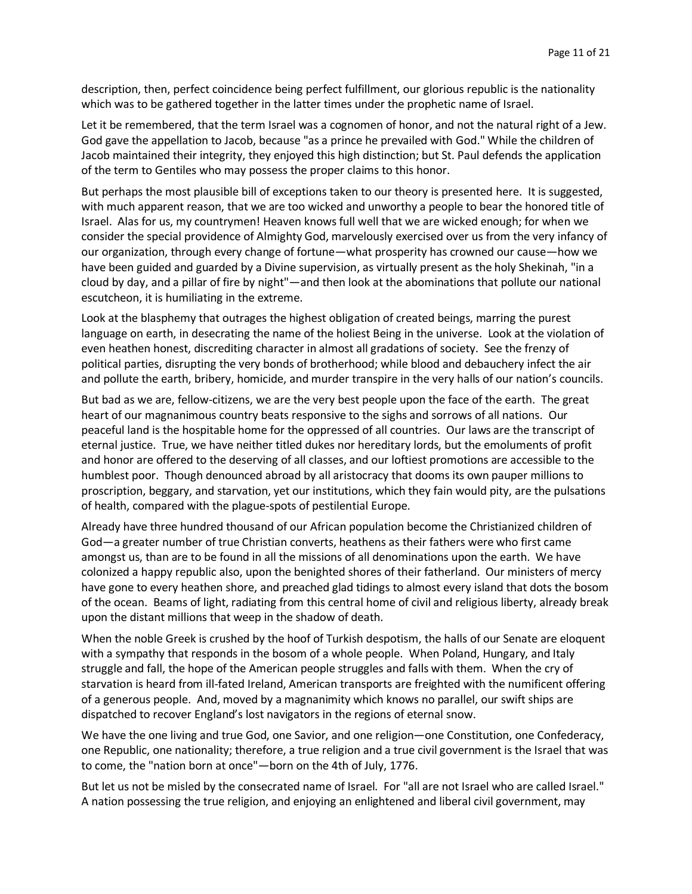description, then, perfect coincidence being perfect fulfillment, our glorious republic is the nationality which was to be gathered together in the latter times under the prophetic name of Israel.

Let it be remembered, that the term Israel was a cognomen of honor, and not the natural right of a Jew. God gave the appellation to Jacob, because "as a prince he prevailed with God." While the children of Jacob maintained their integrity, they enjoyed this high distinction; but St. Paul defends the application of the term to Gentiles who may possess the proper claims to this honor.

But perhaps the most plausible bill of exceptions taken to our theory is presented here. It is suggested, with much apparent reason, that we are too wicked and unworthy a people to bear the honored title of Israel. Alas for us, my countrymen! Heaven knows full well that we are wicked enough; for when we consider the special providence of Almighty God, marvelously exercised over us from the very infancy of our organization, through every change of fortune—what prosperity has crowned our cause—how we have been guided and guarded by a Divine supervision, as virtually present as the holy Shekinah, "in a cloud by day, and a pillar of fire by night"—and then look at the abominations that pollute our national escutcheon, it is humiliating in the extreme.

Look at the blasphemy that outrages the highest obligation of created beings, marring the purest language on earth, in desecrating the name of the holiest Being in the universe. Look at the violation of even heathen honest, discrediting character in almost all gradations of society. See the frenzy of political parties, disrupting the very bonds of brotherhood; while blood and debauchery infect the air and pollute the earth, bribery, homicide, and murder transpire in the very halls of our nation's councils.

But bad as we are, fellow-citizens, we are the very best people upon the face of the earth. The great heart of our magnanimous country beats responsive to the sighs and sorrows of all nations. Our peaceful land is the hospitable home for the oppressed of all countries. Our laws are the transcript of eternal justice. True, we have neither titled dukes nor hereditary lords, but the emoluments of profit and honor are offered to the deserving of all classes, and our loftiest promotions are accessible to the humblest poor. Though denounced abroad by all aristocracy that dooms its own pauper millions to proscription, beggary, and starvation, yet our institutions, which they fain would pity, are the pulsations of health, compared with the plague-spots of pestilential Europe.

Already have three hundred thousand of our African population become the Christianized children of God—a greater number of true Christian converts, heathens as their fathers were who first came amongst us, than are to be found in all the missions of all denominations upon the earth. We have colonized a happy republic also, upon the benighted shores of their fatherland. Our ministers of mercy have gone to every heathen shore, and preached glad tidings to almost every island that dots the bosom of the ocean. Beams of light, radiating from this central home of civil and religious liberty, already break upon the distant millions that weep in the shadow of death.

When the noble Greek is crushed by the hoof of Turkish despotism, the halls of our Senate are eloquent with a sympathy that responds in the bosom of a whole people. When Poland, Hungary, and Italy struggle and fall, the hope of the American people struggles and falls with them. When the cry of starvation is heard from ill-fated Ireland, American transports are freighted with the numificent offering of a generous people. And, moved by a magnanimity which knows no parallel, our swift ships are dispatched to recover England's lost navigators in the regions of eternal snow.

We have the one living and true God, one Savior, and one religion—one Constitution, one Confederacy, one Republic, one nationality; therefore, a true religion and a true civil government is the Israel that was to come, the "nation born at once"—born on the 4th of July, 1776.

But let us not be misled by the consecrated name of Israel. For "all are not Israel who are called Israel." A nation possessing the true religion, and enjoying an enlightened and liberal civil government, may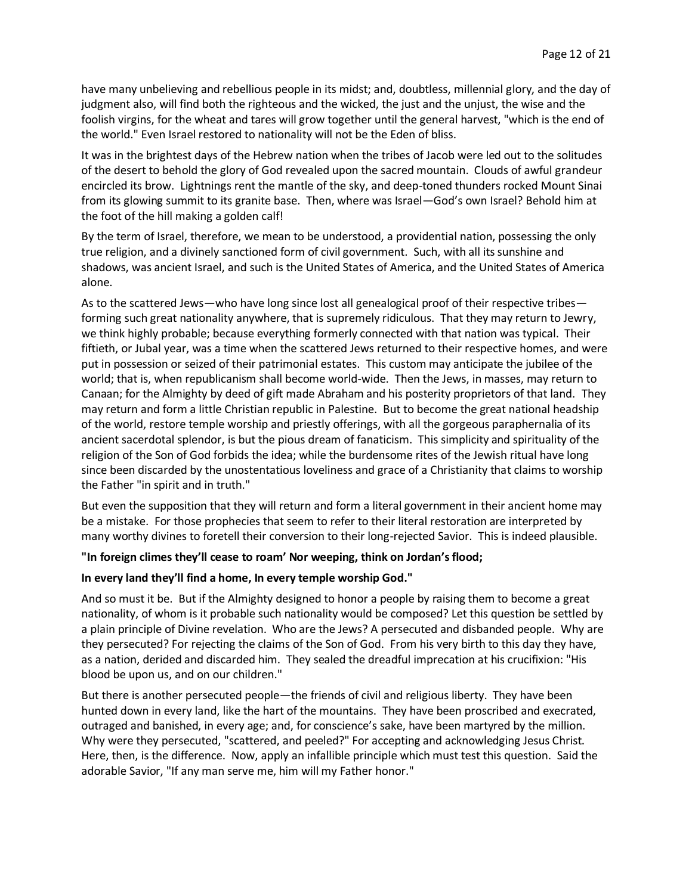have many unbelieving and rebellious people in its midst; and, doubtless, millennial glory, and the day of judgment also, will find both the righteous and the wicked, the just and the unjust, the wise and the foolish virgins, for the wheat and tares will grow together until the general harvest, "which is the end of the world." Even Israel restored to nationality will not be the Eden of bliss.

It was in the brightest days of the Hebrew nation when the tribes of Jacob were led out to the solitudes of the desert to behold the glory of God revealed upon the sacred mountain. Clouds of awful grandeur encircled its brow. Lightnings rent the mantle of the sky, and deep-toned thunders rocked Mount Sinai from its glowing summit to its granite base. Then, where was Israel—God's own Israel? Behold him at the foot of the hill making a golden calf!

By the term of Israel, therefore, we mean to be understood, a providential nation, possessing the only true religion, and a divinely sanctioned form of civil government. Such, with all its sunshine and shadows, was ancient Israel, and such is the United States of America, and the United States of America alone.

As to the scattered Jews—who have long since lost all genealogical proof of their respective tribes forming such great nationality anywhere, that is supremely ridiculous. That they may return to Jewry, we think highly probable; because everything formerly connected with that nation was typical. Their fiftieth, or Jubal year, was a time when the scattered Jews returned to their respective homes, and were put in possession or seized of their patrimonial estates. This custom may anticipate the jubilee of the world; that is, when republicanism shall become world-wide. Then the Jews, in masses, may return to Canaan; for the Almighty by deed of gift made Abraham and his posterity proprietors of that land. They may return and form a little Christian republic in Palestine. But to become the great national headship of the world, restore temple worship and priestly offerings, with all the gorgeous paraphernalia of its ancient sacerdotal splendor, is but the pious dream of fanaticism. This simplicity and spirituality of the religion of the Son of God forbids the idea; while the burdensome rites of the Jewish ritual have long since been discarded by the unostentatious loveliness and grace of a Christianity that claims to worship the Father "in spirit and in truth."

But even the supposition that they will return and form a literal government in their ancient home may be a mistake. For those prophecies that seem to refer to their literal restoration are interpreted by many worthy divines to foretell their conversion to their long-rejected Savior. This is indeed plausible.

#### **"In foreign climes they'll cease to roam' Nor weeping, think on Jordan's flood;**

#### **In every land they'll find a home, In every temple worship God."**

And so must it be. But if the Almighty designed to honor a people by raising them to become a great nationality, of whom is it probable such nationality would be composed? Let this question be settled by a plain principle of Divine revelation. Who are the Jews? A persecuted and disbanded people. Why are they persecuted? For rejecting the claims of the Son of God. From his very birth to this day they have, as a nation, derided and discarded him. They sealed the dreadful imprecation at his crucifixion: "His blood be upon us, and on our children."

But there is another persecuted people—the friends of civil and religious liberty. They have been hunted down in every land, like the hart of the mountains. They have been proscribed and execrated, outraged and banished, in every age; and, for conscience's sake, have been martyred by the million. Why were they persecuted, "scattered, and peeled?" For accepting and acknowledging Jesus Christ. Here, then, is the difference. Now, apply an infallible principle which must test this question. Said the adorable Savior, "If any man serve me, him will my Father honor."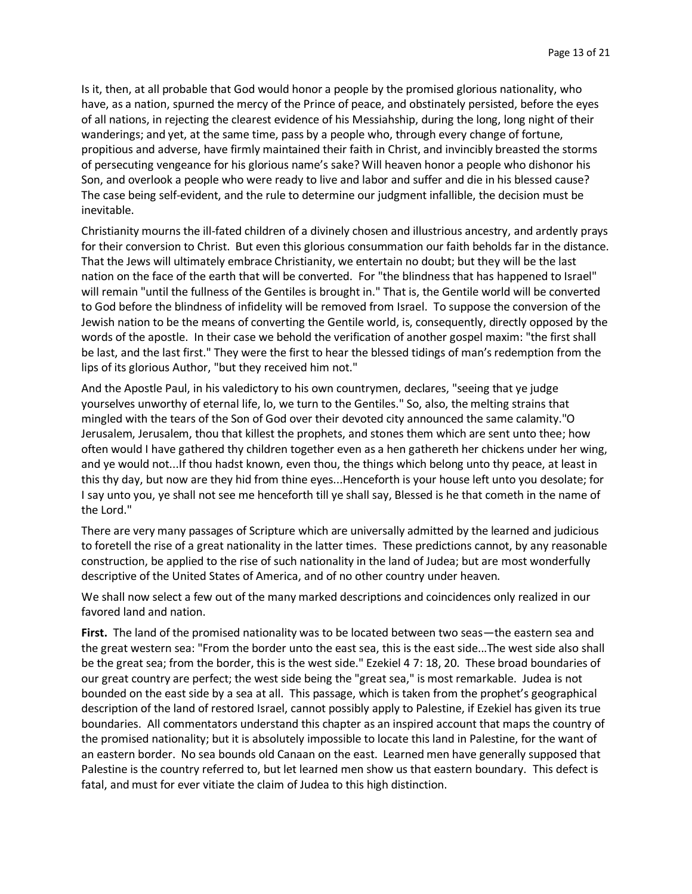Is it, then, at all probable that God would honor a people by the promised glorious nationality, who have, as a nation, spurned the mercy of the Prince of peace, and obstinately persisted, before the eyes of all nations, in rejecting the clearest evidence of his Messiahship, during the long, long night of their wanderings; and yet, at the same time, pass by a people who, through every change of fortune, propitious and adverse, have firmly maintained their faith in Christ, and invincibly breasted the storms of persecuting vengeance for his glorious name's sake? Will heaven honor a people who dishonor his Son, and overlook a people who were ready to live and labor and suffer and die in his blessed cause? The case being self-evident, and the rule to determine our judgment infallible, the decision must be inevitable.

Christianity mourns the ill-fated children of a divinely chosen and illustrious ancestry, and ardently prays for their conversion to Christ. But even this glorious consummation our faith beholds far in the distance. That the Jews will ultimately embrace Christianity, we entertain no doubt; but they will be the last nation on the face of the earth that will be converted. For "the blindness that has happened to Israel" will remain "until the fullness of the Gentiles is brought in." That is, the Gentile world will be converted to God before the blindness of infidelity will be removed from Israel. To suppose the conversion of the Jewish nation to be the means of converting the Gentile world, is, consequently, directly opposed by the words of the apostle. In their case we behold the verification of another gospel maxim: "the first shall be last, and the last first." They were the first to hear the blessed tidings of man's redemption from the lips of its glorious Author, "but they received him not."

And the Apostle Paul, in his valedictory to his own countrymen, declares, "seeing that ye judge yourselves unworthy of eternal life, lo, we turn to the Gentiles." So, also, the melting strains that mingled with the tears of the Son of God over their devoted city announced the same calamity."O Jerusalem, Jerusalem, thou that killest the prophets, and stones them which are sent unto thee; how often would I have gathered thy children together even as a hen gathereth her chickens under her wing, and ye would not...If thou hadst known, even thou, the things which belong unto thy peace, at least in this thy day, but now are they hid from thine eyes...Henceforth is your house left unto you desolate; for I say unto you, ye shall not see me henceforth till ye shall say, Blessed is he that cometh in the name of the Lord."

There are very many passages of Scripture which are universally admitted by the learned and judicious to foretell the rise of a great nationality in the latter times. These predictions cannot, by any reasonable construction, be applied to the rise of such nationality in the land of Judea; but are most wonderfully descriptive of the United States of America, and of no other country under heaven.

We shall now select a few out of the many marked descriptions and coincidences only realized in our favored land and nation.

**First.** The land of the promised nationality was to be located between two seas—the eastern sea and the great western sea: "From the border unto the east sea, this is the east side...The west side also shall be the great sea; from the border, this is the west side." Ezekiel 4 7: 18, 20. These broad boundaries of our great country are perfect; the west side being the "great sea," is most remarkable. Judea is not bounded on the east side by a sea at all. This passage, which is taken from the prophet's geographical description of the land of restored Israel, cannot possibly apply to Palestine, if Ezekiel has given its true boundaries. All commentators understand this chapter as an inspired account that maps the country of the promised nationality; but it is absolutely impossible to locate this land in Palestine, for the want of an eastern border. No sea bounds old Canaan on the east. Learned men have generally supposed that Palestine is the country referred to, but let learned men show us that eastern boundary. This defect is fatal, and must for ever vitiate the claim of Judea to this high distinction.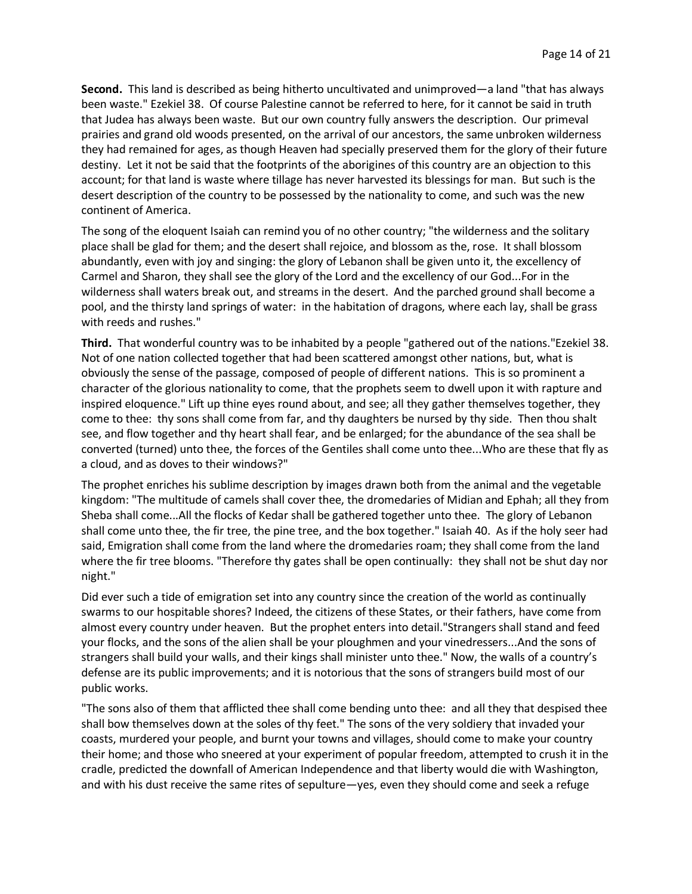**Second.** This land is described as being hitherto uncultivated and unimproved—a land "that has always been waste." Ezekiel 38. Of course Palestine cannot be referred to here, for it cannot be said in truth that Judea has always been waste. But our own country fully answers the description. Our primeval prairies and grand old woods presented, on the arrival of our ancestors, the same unbroken wilderness they had remained for ages, as though Heaven had specially preserved them for the glory of their future destiny. Let it not be said that the footprints of the aborigines of this country are an objection to this account; for that land is waste where tillage has never harvested its blessings for man. But such is the desert description of the country to be possessed by the nationality to come, and such was the new continent of America.

The song of the eloquent Isaiah can remind you of no other country; "the wilderness and the solitary place shall be glad for them; and the desert shall rejoice, and blossom as the, rose. It shall blossom abundantly, even with joy and singing: the glory of Lebanon shall be given unto it, the excellency of Carmel and Sharon, they shall see the glory of the Lord and the excellency of our God...For in the wilderness shall waters break out, and streams in the desert. And the parched ground shall become a pool, and the thirsty land springs of water: in the habitation of dragons, where each lay, shall be grass with reeds and rushes."

**Third.** That wonderful country was to be inhabited by a people "gathered out of the nations."Ezekiel 38. Not of one nation collected together that had been scattered amongst other nations, but, what is obviously the sense of the passage, composed of people of different nations. This is so prominent a character of the glorious nationality to come, that the prophets seem to dwell upon it with rapture and inspired eloquence." Lift up thine eyes round about, and see; all they gather themselves together, they come to thee: thy sons shall come from far, and thy daughters be nursed by thy side. Then thou shalt see, and flow together and thy heart shall fear, and be enlarged; for the abundance of the sea shall be converted (turned) unto thee, the forces of the Gentiles shall come unto thee...Who are these that fly as a cloud, and as doves to their windows?"

The prophet enriches his sublime description by images drawn both from the animal and the vegetable kingdom: "The multitude of camels shall cover thee, the dromedaries of Midian and Ephah; all they from Sheba shall come...All the flocks of Kedar shall be gathered together unto thee. The glory of Lebanon shall come unto thee, the fir tree, the pine tree, and the box together." Isaiah 40. As if the holy seer had said, Emigration shall come from the land where the dromedaries roam; they shall come from the land where the fir tree blooms. "Therefore thy gates shall be open continually: they shall not be shut day nor night."

Did ever such a tide of emigration set into any country since the creation of the world as continually swarms to our hospitable shores? Indeed, the citizens of these States, or their fathers, have come from almost every country under heaven. But the prophet enters into detail."Strangers shall stand and feed your flocks, and the sons of the alien shall be your ploughmen and your vinedressers...And the sons of strangers shall build your walls, and their kings shall minister unto thee." Now, the walls of a country's defense are its public improvements; and it is notorious that the sons of strangers build most of our public works.

"The sons also of them that afflicted thee shall come bending unto thee: and all they that despised thee shall bow themselves down at the soles of thy feet." The sons of the very soldiery that invaded your coasts, murdered your people, and burnt your towns and villages, should come to make your country their home; and those who sneered at your experiment of popular freedom, attempted to crush it in the cradle, predicted the downfall of American Independence and that liberty would die with Washington, and with his dust receive the same rites of sepulture—yes, even they should come and seek a refuge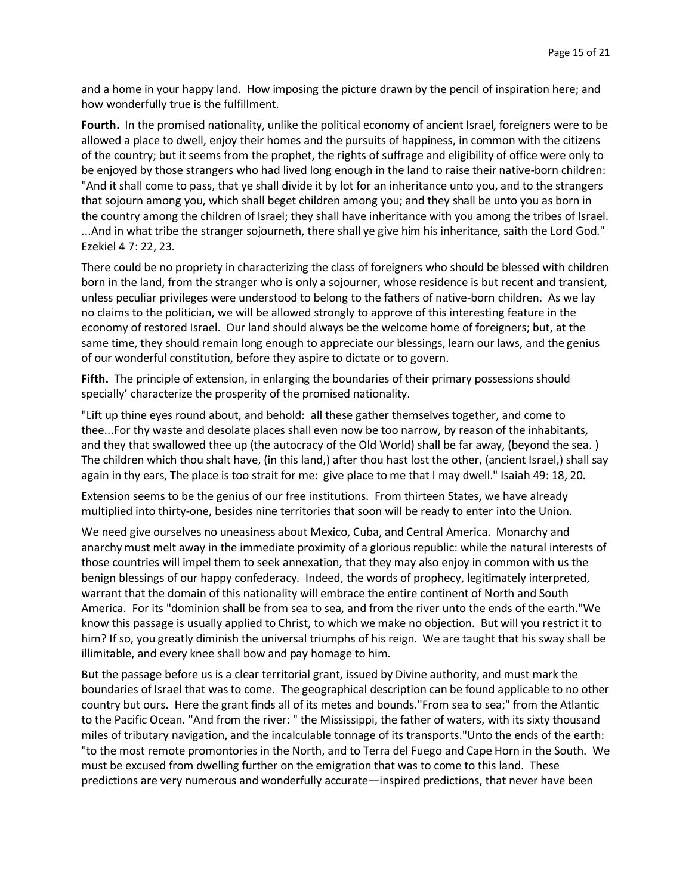and a home in your happy land. How imposing the picture drawn by the pencil of inspiration here; and how wonderfully true is the fulfillment.

**Fourth.** In the promised nationality, unlike the political economy of ancient Israel, foreigners were to be allowed a place to dwell, enjoy their homes and the pursuits of happiness, in common with the citizens of the country; but it seems from the prophet, the rights of suffrage and eligibility of office were only to be enjoyed by those strangers who had lived long enough in the land to raise their native-born children: "And it shall come to pass, that ye shall divide it by lot for an inheritance unto you, and to the strangers that sojourn among you, which shall beget children among you; and they shall be unto you as born in the country among the children of Israel; they shall have inheritance with you among the tribes of Israel. ...And in what tribe the stranger sojourneth, there shall ye give him his inheritance, saith the Lord God." Ezekiel 4 7: 22, 23.

There could be no propriety in characterizing the class of foreigners who should be blessed with children born in the land, from the stranger who is only a sojourner, whose residence is but recent and transient, unless peculiar privileges were understood to belong to the fathers of native-born children. As we lay no claims to the politician, we will be allowed strongly to approve of this interesting feature in the economy of restored Israel. Our land should always be the welcome home of foreigners; but, at the same time, they should remain long enough to appreciate our blessings, learn our laws, and the genius of our wonderful constitution, before they aspire to dictate or to govern.

**Fifth.** The principle of extension, in enlarging the boundaries of their primary possessions should specially' characterize the prosperity of the promised nationality.

"Lift up thine eyes round about, and behold: all these gather themselves together, and come to thee...For thy waste and desolate places shall even now be too narrow, by reason of the inhabitants, and they that swallowed thee up (the autocracy of the Old World) shall be far away, (beyond the sea. ) The children which thou shalt have, (in this land,) after thou hast lost the other, (ancient Israel,) shall say again in thy ears, The place is too strait for me: give place to me that I may dwell." Isaiah 49: 18, 20.

Extension seems to be the genius of our free institutions. From thirteen States, we have already multiplied into thirty-one, besides nine territories that soon will be ready to enter into the Union.

We need give ourselves no uneasiness about Mexico, Cuba, and Central America. Monarchy and anarchy must melt away in the immediate proximity of a glorious republic: while the natural interests of those countries will impel them to seek annexation, that they may also enjoy in common with us the benign blessings of our happy confederacy. Indeed, the words of prophecy, legitimately interpreted, warrant that the domain of this nationality will embrace the entire continent of North and South America. For its "dominion shall be from sea to sea, and from the river unto the ends of the earth."We know this passage is usually applied to Christ, to which we make no objection. But will you restrict it to him? If so, you greatly diminish the universal triumphs of his reign. We are taught that his sway shall be illimitable, and every knee shall bow and pay homage to him.

But the passage before us is a clear territorial grant, issued by Divine authority, and must mark the boundaries of Israel that was to come. The geographical description can be found applicable to no other country but ours. Here the grant finds all of its metes and bounds."From sea to sea;" from the Atlantic to the Pacific Ocean. "And from the river: " the Mississippi, the father of waters, with its sixty thousand miles of tributary navigation, and the incalculable tonnage of its transports."Unto the ends of the earth: "to the most remote promontories in the North, and to Terra del Fuego and Cape Horn in the South. We must be excused from dwelling further on the emigration that was to come to this land. These predictions are very numerous and wonderfully accurate—inspired predictions, that never have been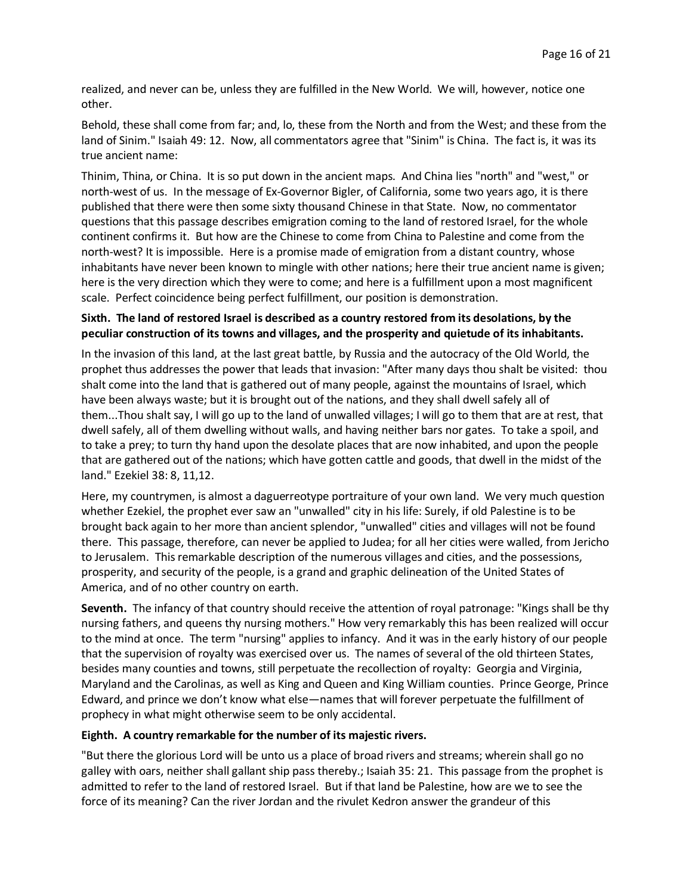realized, and never can be, unless they are fulfilled in the New World. We will, however, notice one other.

Behold, these shall come from far; and, lo, these from the North and from the West; and these from the land of Sinim." Isaiah 49: 12. Now, all commentators agree that "Sinim" is China. The fact is, it was its true ancient name:

Thinim, Thina, or China. It is so put down in the ancient maps. And China lies "north" and "west," or north-west of us. In the message of Ex-Governor Bigler, of California, some two years ago, it is there published that there were then some sixty thousand Chinese in that State. Now, no commentator questions that this passage describes emigration coming to the land of restored Israel, for the whole continent confirms it. But how are the Chinese to come from China to Palestine and come from the north-west? It is impossible. Here is a promise made of emigration from a distant country, whose inhabitants have never been known to mingle with other nations; here their true ancient name is given; here is the very direction which they were to come; and here is a fulfillment upon a most magnificent scale. Perfect coincidence being perfect fulfillment, our position is demonstration.

## **Sixth. The land of restored Israel is described as a country restored from its desolations, by the peculiar construction of its towns and villages, and the prosperity and quietude of its inhabitants.**

In the invasion of this land, at the last great battle, by Russia and the autocracy of the Old World, the prophet thus addresses the power that leads that invasion: "After many days thou shalt be visited: thou shalt come into the land that is gathered out of many people, against the mountains of Israel, which have been always waste; but it is brought out of the nations, and they shall dwell safely all of them...Thou shalt say, I will go up to the land of unwalled villages; I will go to them that are at rest, that dwell safely, all of them dwelling without walls, and having neither bars nor gates. To take a spoil, and to take a prey; to turn thy hand upon the desolate places that are now inhabited, and upon the people that are gathered out of the nations; which have gotten cattle and goods, that dwell in the midst of the land." Ezekiel 38: 8, 11,12.

Here, my countrymen, is almost a daguerreotype portraiture of your own land. We very much question whether Ezekiel, the prophet ever saw an "unwalled" city in his life: Surely, if old Palestine is to be brought back again to her more than ancient splendor, "unwalled" cities and villages will not be found there. This passage, therefore, can never be applied to Judea; for all her cities were walled, from Jericho to Jerusalem. This remarkable description of the numerous villages and cities, and the possessions, prosperity, and security of the people, is a grand and graphic delineation of the United States of America, and of no other country on earth.

**Seventh.** The infancy of that country should receive the attention of royal patronage: "Kings shall be thy nursing fathers, and queens thy nursing mothers." How very remarkably this has been realized will occur to the mind at once. The term "nursing" applies to infancy. And it was in the early history of our people that the supervision of royalty was exercised over us. The names of several of the old thirteen States, besides many counties and towns, still perpetuate the recollection of royalty: Georgia and Virginia, Maryland and the Carolinas, as well as King and Queen and King William counties. Prince George, Prince Edward, and prince we don't know what else—names that will forever perpetuate the fulfillment of prophecy in what might otherwise seem to be only accidental.

## **Eighth. A country remarkable for the number of its majestic rivers.**

"But there the glorious Lord will be unto us a place of broad rivers and streams; wherein shall go no galley with oars, neither shall gallant ship pass thereby.; Isaiah 35: 21. This passage from the prophet is admitted to refer to the land of restored Israel. But if that land be Palestine, how are we to see the force of its meaning? Can the river Jordan and the rivulet Kedron answer the grandeur of this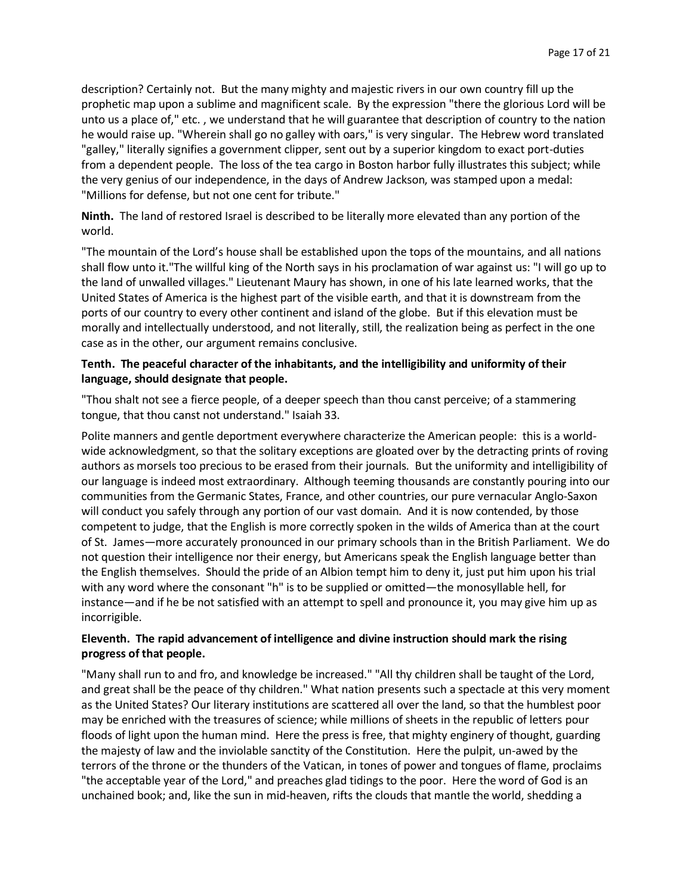description? Certainly not. But the many mighty and majestic rivers in our own country fill up the prophetic map upon a sublime and magnificent scale. By the expression "there the glorious Lord will be unto us a place of," etc. , we understand that he will guarantee that description of country to the nation he would raise up. "Wherein shall go no galley with oars," is very singular. The Hebrew word translated "galley," literally signifies a government clipper, sent out by a superior kingdom to exact port-duties from a dependent people. The loss of the tea cargo in Boston harbor fully illustrates this subject; while the very genius of our independence, in the days of Andrew Jackson, was stamped upon a medal: "Millions for defense, but not one cent for tribute."

**Ninth.** The land of restored Israel is described to be literally more elevated than any portion of the world.

"The mountain of the Lord's house shall be established upon the tops of the mountains, and all nations shall flow unto it."The willful king of the North says in his proclamation of war against us: "I will go up to the land of unwalled villages." Lieutenant Maury has shown, in one of his late learned works, that the United States of America is the highest part of the visible earth, and that it is downstream from the ports of our country to every other continent and island of the globe. But if this elevation must be morally and intellectually understood, and not literally, still, the realization being as perfect in the one case as in the other, our argument remains conclusive.

## **Tenth. The peaceful character of the inhabitants, and the intelligibility and uniformity of their language, should designate that people.**

"Thou shalt not see a fierce people, of a deeper speech than thou canst perceive; of a stammering tongue, that thou canst not understand." Isaiah 33.

Polite manners and gentle deportment everywhere characterize the American people: this is a worldwide acknowledgment, so that the solitary exceptions are gloated over by the detracting prints of roving authors as morsels too precious to be erased from their journals. But the uniformity and intelligibility of our language is indeed most extraordinary. Although teeming thousands are constantly pouring into our communities from the Germanic States, France, and other countries, our pure vernacular Anglo-Saxon will conduct you safely through any portion of our vast domain. And it is now contended, by those competent to judge, that the English is more correctly spoken in the wilds of America than at the court of St. James—more accurately pronounced in our primary schools than in the British Parliament. We do not question their intelligence nor their energy, but Americans speak the English language better than the English themselves. Should the pride of an Albion tempt him to deny it, just put him upon his trial with any word where the consonant "h" is to be supplied or omitted—the monosyllable hell, for instance—and if he be not satisfied with an attempt to spell and pronounce it, you may give him up as incorrigible.

## **Eleventh. The rapid advancement of intelligence and divine instruction should mark the rising progress of that people.**

"Many shall run to and fro, and knowledge be increased." "All thy children shall be taught of the Lord, and great shall be the peace of thy children." What nation presents such a spectacle at this very moment as the United States? Our literary institutions are scattered all over the land, so that the humblest poor may be enriched with the treasures of science; while millions of sheets in the republic of letters pour floods of light upon the human mind. Here the press is free, that mighty enginery of thought, guarding the majesty of law and the inviolable sanctity of the Constitution. Here the pulpit, un-awed by the terrors of the throne or the thunders of the Vatican, in tones of power and tongues of flame, proclaims "the acceptable year of the Lord," and preaches glad tidings to the poor. Here the word of God is an unchained book; and, like the sun in mid-heaven, rifts the clouds that mantle the world, shedding a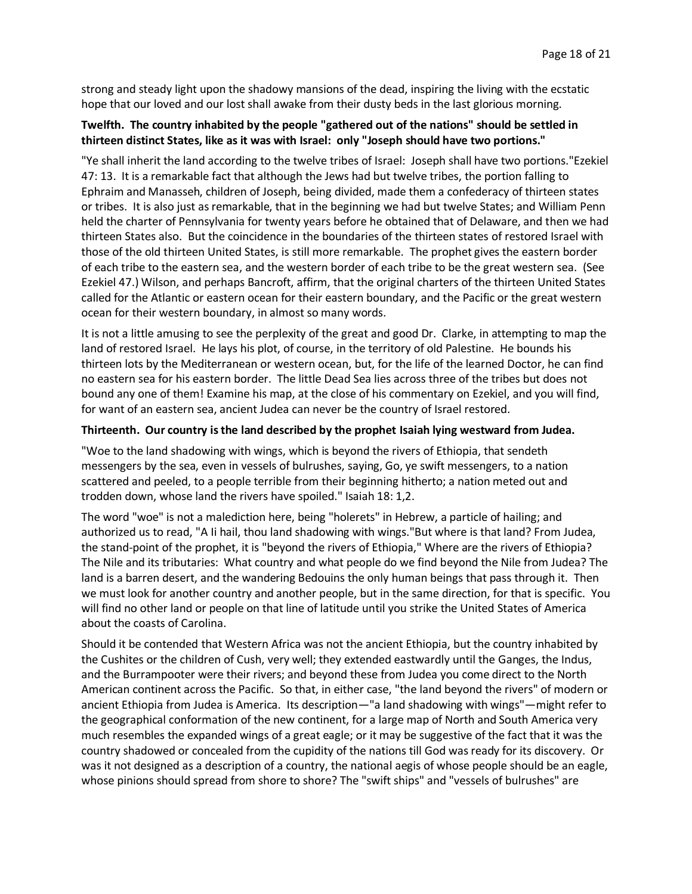strong and steady light upon the shadowy mansions of the dead, inspiring the living with the ecstatic hope that our loved and our lost shall awake from their dusty beds in the last glorious morning.

# **Twelfth. The country inhabited by the people "gathered out of the nations" should be settled in thirteen distinct States, like as it was with Israel: only "Joseph should have two portions."**

"Ye shall inherit the land according to the twelve tribes of Israel: Joseph shall have two portions."Ezekiel 47: 13. It is a remarkable fact that although the Jews had but twelve tribes, the portion falling to Ephraim and Manasseh, children of Joseph, being divided, made them a confederacy of thirteen states or tribes. It is also just as remarkable, that in the beginning we had but twelve States; and William Penn held the charter of Pennsylvania for twenty years before he obtained that of Delaware, and then we had thirteen States also. But the coincidence in the boundaries of the thirteen states of restored Israel with those of the old thirteen United States, is still more remarkable. The prophet gives the eastern border of each tribe to the eastern sea, and the western border of each tribe to be the great western sea. (See Ezekiel 47.) Wilson, and perhaps Bancroft, affirm, that the original charters of the thirteen United States called for the Atlantic or eastern ocean for their eastern boundary, and the Pacific or the great western ocean for their western boundary, in almost so many words.

It is not a little amusing to see the perplexity of the great and good Dr. Clarke, in attempting to map the land of restored Israel. He lays his plot, of course, in the territory of old Palestine. He bounds his thirteen lots by the Mediterranean or western ocean, but, for the life of the learned Doctor, he can find no eastern sea for his eastern border. The little Dead Sea lies across three of the tribes but does not bound any one of them! Examine his map, at the close of his commentary on Ezekiel, and you will find, for want of an eastern sea, ancient Judea can never be the country of Israel restored.

#### **Thirteenth. Our country is the land described by the prophet Isaiah lying westward from Judea.**

"Woe to the land shadowing with wings, which is beyond the rivers of Ethiopia, that sendeth messengers by the sea, even in vessels of bulrushes, saying, Go, ye swift messengers, to a nation scattered and peeled, to a people terrible from their beginning hitherto; a nation meted out and trodden down, whose land the rivers have spoiled." Isaiah 18: 1,2.

The word "woe" is not a malediction here, being "holerets" in Hebrew, a particle of hailing; and authorized us to read, "A Ii hail, thou land shadowing with wings."But where is that land? From Judea, the stand-point of the prophet, it is "beyond the rivers of Ethiopia," Where are the rivers of Ethiopia? The Nile and its tributaries: What country and what people do we find beyond the Nile from Judea? The land is a barren desert, and the wandering Bedouins the only human beings that pass through it. Then we must look for another country and another people, but in the same direction, for that is specific. You will find no other land or people on that line of latitude until you strike the United States of America about the coasts of Carolina.

Should it be contended that Western Africa was not the ancient Ethiopia, but the country inhabited by the Cushites or the children of Cush, very well; they extended eastwardly until the Ganges, the Indus, and the Burrampooter were their rivers; and beyond these from Judea you come direct to the North American continent across the Pacific. So that, in either case, "the land beyond the rivers" of modern or ancient Ethiopia from Judea is America. Its description—"a land shadowing with wings"—might refer to the geographical conformation of the new continent, for a large map of North and South America very much resembles the expanded wings of a great eagle; or it may be suggestive of the fact that it was the country shadowed or concealed from the cupidity of the nations till God was ready for its discovery. Or was it not designed as a description of a country, the national aegis of whose people should be an eagle, whose pinions should spread from shore to shore? The "swift ships" and "vessels of bulrushes" are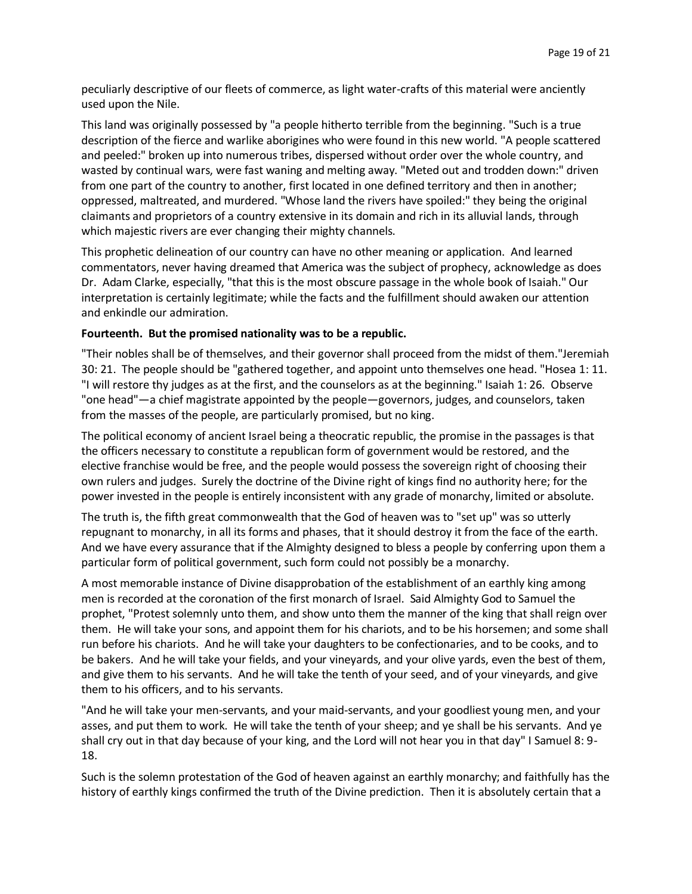peculiarly descriptive of our fleets of commerce, as light water-crafts of this material were anciently used upon the Nile.

This land was originally possessed by "a people hitherto terrible from the beginning. "Such is a true description of the fierce and warlike aborigines who were found in this new world. "A people scattered and peeled:" broken up into numerous tribes, dispersed without order over the whole country, and wasted by continual wars, were fast waning and melting away. "Meted out and trodden down:" driven from one part of the country to another, first located in one defined territory and then in another; oppressed, maltreated, and murdered. "Whose land the rivers have spoiled:" they being the original claimants and proprietors of a country extensive in its domain and rich in its alluvial lands, through which majestic rivers are ever changing their mighty channels.

This prophetic delineation of our country can have no other meaning or application. And learned commentators, never having dreamed that America was the subject of prophecy, acknowledge as does Dr. Adam Clarke, especially, "that this is the most obscure passage in the whole book of Isaiah." Our interpretation is certainly legitimate; while the facts and the fulfillment should awaken our attention and enkindle our admiration.

#### **Fourteenth. But the promised nationality was to be a republic.**

"Their nobles shall be of themselves, and their governor shall proceed from the midst of them."Jeremiah 30: 21. The people should be "gathered together, and appoint unto themselves one head. "Hosea 1: 11. "I will restore thy judges as at the first, and the counselors as at the beginning." Isaiah 1: 26. Observe "one head"—a chief magistrate appointed by the people—governors, judges, and counselors, taken from the masses of the people, are particularly promised, but no king.

The political economy of ancient Israel being a theocratic republic, the promise in the passages is that the officers necessary to constitute a republican form of government would be restored, and the elective franchise would be free, and the people would possess the sovereign right of choosing their own rulers and judges. Surely the doctrine of the Divine right of kings find no authority here; for the power invested in the people is entirely inconsistent with any grade of monarchy, limited or absolute.

The truth is, the fifth great commonwealth that the God of heaven was to "set up" was so utterly repugnant to monarchy, in all its forms and phases, that it should destroy it from the face of the earth. And we have every assurance that if the Almighty designed to bless a people by conferring upon them a particular form of political government, such form could not possibly be a monarchy.

A most memorable instance of Divine disapprobation of the establishment of an earthly king among men is recorded at the coronation of the first monarch of Israel. Said Almighty God to Samuel the prophet, "Protest solemnly unto them, and show unto them the manner of the king that shall reign over them. He will take your sons, and appoint them for his chariots, and to be his horsemen; and some shall run before his chariots. And he will take your daughters to be confectionaries, and to be cooks, and to be bakers. And he will take your fields, and your vineyards, and your olive yards, even the best of them, and give them to his servants. And he will take the tenth of your seed, and of your vineyards, and give them to his officers, and to his servants.

"And he will take your men-servants, and your maid-servants, and your goodliest young men, and your asses, and put them to work. He will take the tenth of your sheep; and ye shall be his servants. And ye shall cry out in that day because of your king, and the Lord will not hear you in that day" I Samuel 8: 9- 18.

Such is the solemn protestation of the God of heaven against an earthly monarchy; and faithfully has the history of earthly kings confirmed the truth of the Divine prediction. Then it is absolutely certain that a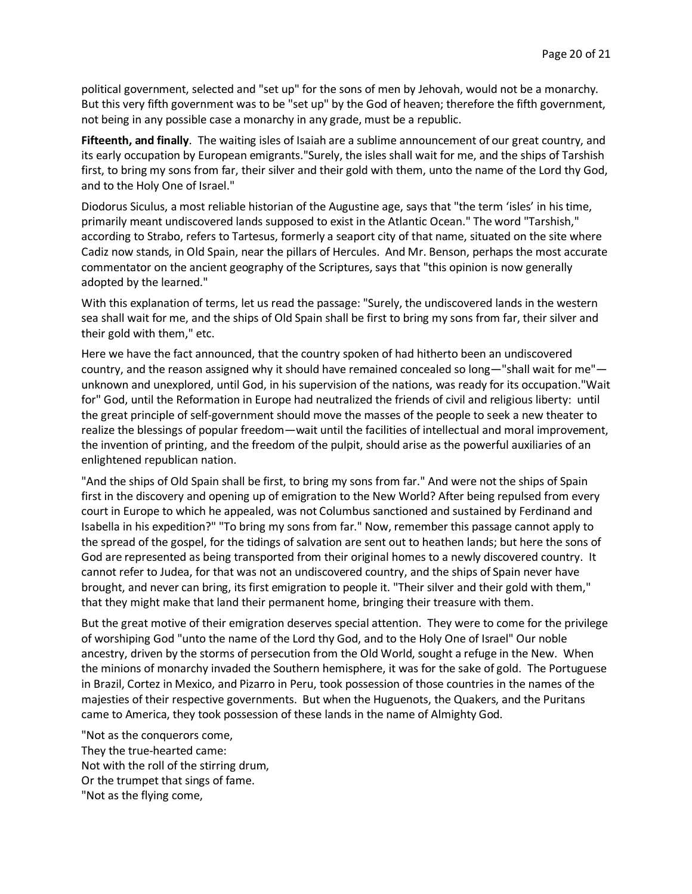political government, selected and "set up" for the sons of men by Jehovah, would not be a monarchy. But this very fifth government was to be "set up" by the God of heaven; therefore the fifth government, not being in any possible case a monarchy in any grade, must be a republic.

**Fifteenth, and finally**. The waiting isles of Isaiah are a sublime announcement of our great country, and its early occupation by European emigrants."Surely, the isles shall wait for me, and the ships of Tarshish first, to bring my sons from far, their silver and their gold with them, unto the name of the Lord thy God, and to the Holy One of Israel."

Diodorus Siculus, a most reliable historian of the Augustine age, says that "the term 'isles' in his time, primarily meant undiscovered lands supposed to exist in the Atlantic Ocean." The word "Tarshish," according to Strabo, refers to Tartesus, formerly a seaport city of that name, situated on the site where Cadiz now stands, in Old Spain, near the pillars of Hercules. And Mr. Benson, perhaps the most accurate commentator on the ancient geography of the Scriptures, says that "this opinion is now generally adopted by the learned."

With this explanation of terms, let us read the passage: "Surely, the undiscovered lands in the western sea shall wait for me, and the ships of Old Spain shall be first to bring my sons from far, their silver and their gold with them," etc.

Here we have the fact announced, that the country spoken of had hitherto been an undiscovered country, and the reason assigned why it should have remained concealed so long—"shall wait for me" unknown and unexplored, until God, in his supervision of the nations, was ready for its occupation."Wait for" God, until the Reformation in Europe had neutralized the friends of civil and religious liberty: until the great principle of self-government should move the masses of the people to seek a new theater to realize the blessings of popular freedom—wait until the facilities of intellectual and moral improvement, the invention of printing, and the freedom of the pulpit, should arise as the powerful auxiliaries of an enlightened republican nation.

"And the ships of Old Spain shall be first, to bring my sons from far." And were not the ships of Spain first in the discovery and opening up of emigration to the New World? After being repulsed from every court in Europe to which he appealed, was not Columbus sanctioned and sustained by Ferdinand and Isabella in his expedition?" "To bring my sons from far." Now, remember this passage cannot apply to the spread of the gospel, for the tidings of salvation are sent out to heathen lands; but here the sons of God are represented as being transported from their original homes to a newly discovered country. It cannot refer to Judea, for that was not an undiscovered country, and the ships of Spain never have brought, and never can bring, its first emigration to people it. "Their silver and their gold with them," that they might make that land their permanent home, bringing their treasure with them.

But the great motive of their emigration deserves special attention. They were to come for the privilege of worshiping God "unto the name of the Lord thy God, and to the Holy One of Israel" Our noble ancestry, driven by the storms of persecution from the Old World, sought a refuge in the New. When the minions of monarchy invaded the Southern hemisphere, it was for the sake of gold. The Portuguese in Brazil, Cortez in Mexico, and Pizarro in Peru, took possession of those countries in the names of the majesties of their respective governments. But when the Huguenots, the Quakers, and the Puritans came to America, they took possession of these lands in the name of Almighty God.

"Not as the conquerors come, They the true-hearted came: Not with the roll of the stirring drum, Or the trumpet that sings of fame. "Not as the flying come,